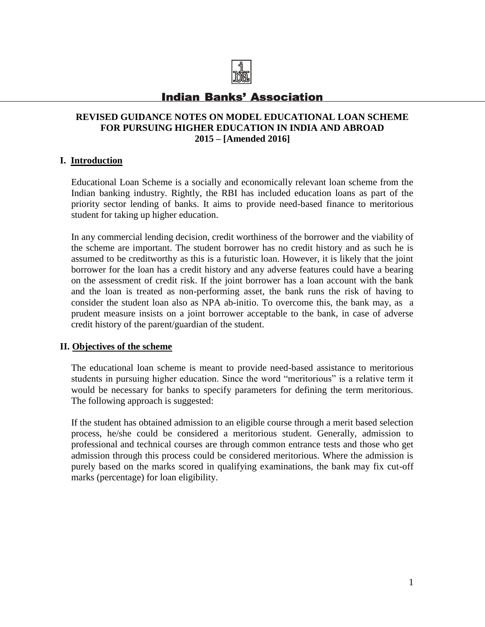

# **Indian Banks' Association**

# **REVISED GUIDANCE NOTES ON MODEL EDUCATIONAL LOAN SCHEME FOR PURSUING HIGHER EDUCATION IN INDIA AND ABROAD 2015 – [Amended 2016]**

# **I. Introduction**

Educational Loan Scheme is a socially and economically relevant loan scheme from the Indian banking industry. Rightly, the RBI has included education loans as part of the priority sector lending of banks. It aims to provide need-based finance to meritorious student for taking up higher education.

In any commercial lending decision, credit worthiness of the borrower and the viability of the scheme are important. The student borrower has no credit history and as such he is assumed to be creditworthy as this is a futuristic loan. However, it is likely that the joint borrower for the loan has a credit history and any adverse features could have a bearing on the assessment of credit risk. If the joint borrower has a loan account with the bank and the loan is treated as non-performing asset, the bank runs the risk of having to consider the student loan also as NPA ab-initio. To overcome this, the bank may, as a prudent measure insists on a joint borrower acceptable to the bank, in case of adverse credit history of the parent/guardian of the student.

### **II. Objectives of the scheme**

The educational loan scheme is meant to provide need-based assistance to meritorious students in pursuing higher education. Since the word "meritorious" is a relative term it would be necessary for banks to specify parameters for defining the term meritorious. The following approach is suggested:

If the student has obtained admission to an eligible course through a merit based selection process, he/she could be considered a meritorious student. Generally, admission to professional and technical courses are through common entrance tests and those who get admission through this process could be considered meritorious. Where the admission is purely based on the marks scored in qualifying examinations, the bank may fix cut-off marks (percentage) for loan eligibility.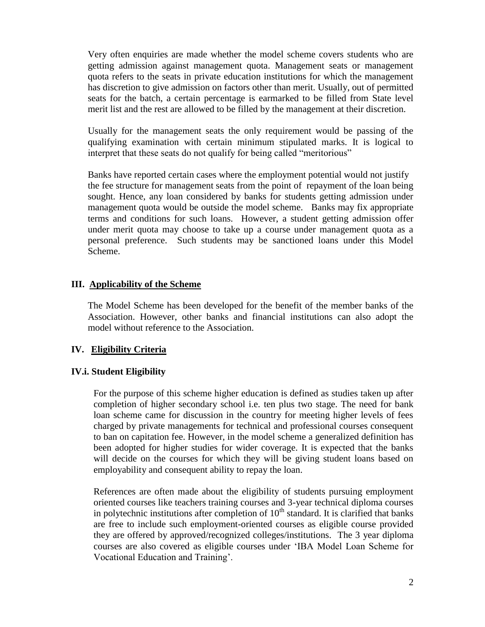Very often enquiries are made whether the model scheme covers students who are getting admission against management quota. Management seats or management quota refers to the seats in private education institutions for which the management has discretion to give admission on factors other than merit. Usually, out of permitted seats for the batch, a certain percentage is earmarked to be filled from State level merit list and the rest are allowed to be filled by the management at their discretion.

Usually for the management seats the only requirement would be passing of the qualifying examination with certain minimum stipulated marks. It is logical to interpret that these seats do not qualify for being called "meritorious"

 Banks have reported certain cases where the employment potential would not justify the fee structure for management seats from the point of repayment of the loan being sought. Hence, any loan considered by banks for students getting admission under management quota would be outside the model scheme. Banks may fix appropriate terms and conditions for such loans. However, a student getting admission offer under merit quota may choose to take up a course under management quota as a personal preference. Such students may be sanctioned loans under this Model Scheme.

#### **III. Applicability of the Scheme**

The Model Scheme has been developed for the benefit of the member banks of the Association. However, other banks and financial institutions can also adopt the model without reference to the Association.

### **IV. Eligibility Criteria**

### **IV.i. Student Eligibility**

For the purpose of this scheme higher education is defined as studies taken up after completion of higher secondary school i.e. ten plus two stage. The need for bank loan scheme came for discussion in the country for meeting higher levels of fees charged by private managements for technical and professional courses consequent to ban on capitation fee. However, in the model scheme a generalized definition has been adopted for higher studies for wider coverage. It is expected that the banks will decide on the courses for which they will be giving student loans based on employability and consequent ability to repay the loan.

References are often made about the eligibility of students pursuing employment oriented courses like teachers training courses and 3-year technical diploma courses in polytechnic institutions after completion of  $10<sup>th</sup>$  standard. It is clarified that banks are free to include such employment-oriented courses as eligible course provided they are offered by approved/recognized colleges/institutions. The 3 year diploma courses are also covered as eligible courses under 'IBA Model Loan Scheme for Vocational Education and Training'.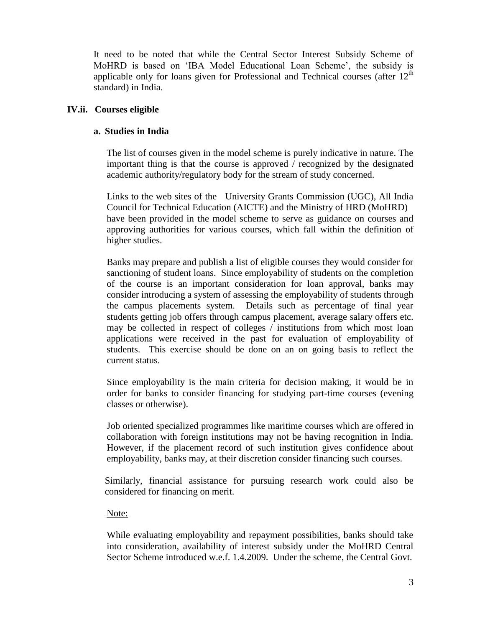It need to be noted that while the Central Sector Interest Subsidy Scheme of MoHRD is based on 'IBA Model Educational Loan Scheme', the subsidy is applicable only for loans given for Professional and Technical courses (after  $12<sup>th</sup>$ standard) in India.

### **IV.ii. Courses eligible**

### **a. Studies in India**

The list of courses given in the model scheme is purely indicative in nature. The important thing is that the course is approved / recognized by the designated academic authority/regulatory body for the stream of study concerned.

Links to the web sites of the University Grants Commission (UGC), All India Council for Technical Education (AICTE) and the Ministry of HRD (MoHRD) have been provided in the model scheme to serve as guidance on courses and approving authorities for various courses, which fall within the definition of higher studies.

Banks may prepare and publish a list of eligible courses they would consider for sanctioning of student loans. Since employability of students on the completion of the course is an important consideration for loan approval, banks may consider introducing a system of assessing the employability of students through the campus placements system. Details such as percentage of final year students getting job offers through campus placement, average salary offers etc. may be collected in respect of colleges / institutions from which most loan applications were received in the past for evaluation of employability of students. This exercise should be done on an on going basis to reflect the current status.

Since employability is the main criteria for decision making, it would be in order for banks to consider financing for studying part-time courses (evening classes or otherwise).

Job oriented specialized programmes like maritime courses which are offered in collaboration with foreign institutions may not be having recognition in India. However, if the placement record of such institution gives confidence about employability, banks may, at their discretion consider financing such courses.

Similarly, financial assistance for pursuing research work could also be considered for financing on merit.

### Note:

While evaluating employability and repayment possibilities, banks should take into consideration, availability of interest subsidy under the MoHRD Central Sector Scheme introduced w.e.f. 1.4.2009. Under the scheme, the Central Govt.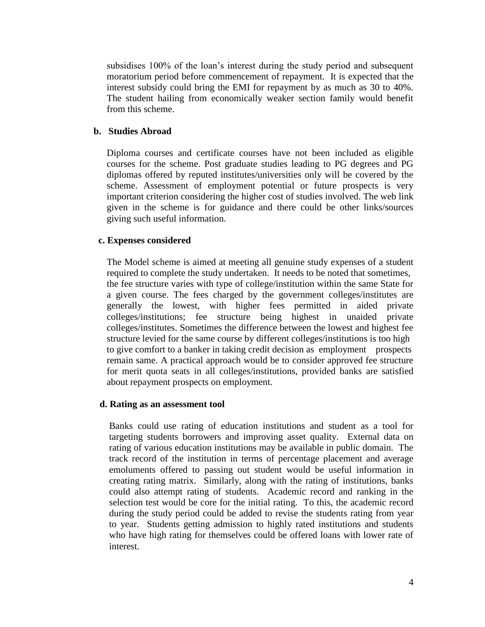subsidises 100% of the loan's interest during the study period and subsequent moratorium period before commencement of repayment. It is expected that the interest subsidy could bring the EMI for repayment by as much as 30 to 40%. The student hailing from economically weaker section family would benefit from this scheme.

### **b. Studies Abroad**

Diploma courses and certificate courses have not been included as eligible courses for the scheme. Post graduate studies leading to PG degrees and PG diplomas offered by reputed institutes/universities only will be covered by the scheme. Assessment of employment potential or future prospects is very important criterion considering the higher cost of studies involved. The web link given in the scheme is for guidance and there could be other links/sources giving such useful information.

#### **c. Expenses considered**

The Model scheme is aimed at meeting all genuine study expenses of a student required to complete the study undertaken. It needs to be noted that sometimes, the fee structure varies with type of college/institution within the same State for a given course. The fees charged by the government colleges/institutes are generally the lowest, with higher fees permitted in aided private colleges/institutions; fee structure being highest in unaided private colleges/institutes. Sometimes the difference between the lowest and highest fee structure levied for the same course by different colleges/institutions is too high to give comfort to a banker in taking credit decision as employment prospects remain same. A practical approach would be to consider approved fee structure for merit quota seats in all colleges/institutions, provided banks are satisfied about repayment prospects on employment.

#### **d. Rating as an assessment tool**

Banks could use rating of education institutions and student as a tool for targeting students borrowers and improving asset quality. External data on rating of various education institutions may be available in public domain. The track record of the institution in terms of percentage placement and average emoluments offered to passing out student would be useful information in creating rating matrix. Similarly, along with the rating of institutions, banks could also attempt rating of students. Academic record and ranking in the selection test would be core for the initial rating. To this, the academic record during the study period could be added to revise the students rating from year to year. Students getting admission to highly rated institutions and students who have high rating for themselves could be offered loans with lower rate of interest.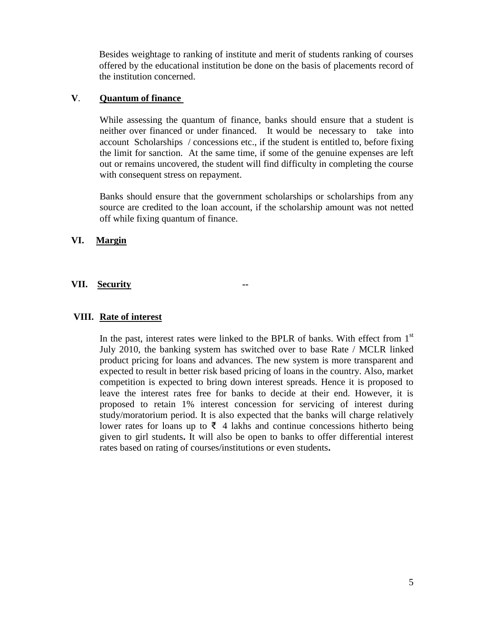Besides weightage to ranking of institute and merit of students ranking of courses offered by the educational institution be done on the basis of placements record of the institution concerned.

### **V**. **Quantum of finance**

While assessing the quantum of finance, banks should ensure that a student is neither over financed or under financed. It would be necessary to take into account Scholarships / concessions etc., if the student is entitled to, before fixing the limit for sanction. At the same time, if some of the genuine expenses are left out or remains uncovered, the student will find difficulty in completing the course with consequent stress on repayment.

Banks should ensure that the government scholarships or scholarships from any source are credited to the loan account, if the scholarship amount was not netted off while fixing quantum of finance.

### **VI. Margin**

### **VII. Security --**

### **VIII. Rate of interest**

In the past, interest rates were linked to the BPLR of banks. With effect from  $1<sup>st</sup>$ July 2010, the banking system has switched over to base Rate / MCLR linked product pricing for loans and advances. The new system is more transparent and expected to result in better risk based pricing of loans in the country. Also, market competition is expected to bring down interest spreads. Hence it is proposed to leave the interest rates free for banks to decide at their end. However, it is proposed to retain 1% interest concession for servicing of interest during study/moratorium period. It is also expected that the banks will charge relatively lower rates for loans up to ₹ 4 lakhs and continue concessions hitherto being given to girl students**.** It will also be open to banks to offer differential interest rates based on rating of courses/institutions or even students**.**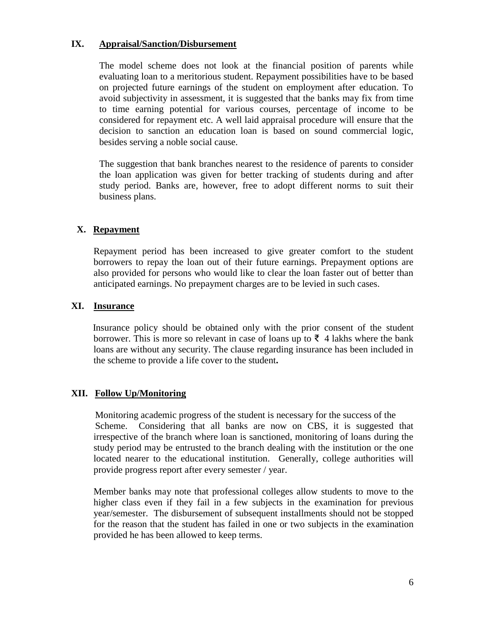### **IX. Appraisal/Sanction/Disbursement**

The model scheme does not look at the financial position of parents while evaluating loan to a meritorious student. Repayment possibilities have to be based on projected future earnings of the student on employment after education. To avoid subjectivity in assessment, it is suggested that the banks may fix from time to time earning potential for various courses, percentage of income to be considered for repayment etc. A well laid appraisal procedure will ensure that the decision to sanction an education loan is based on sound commercial logic, besides serving a noble social cause.

The suggestion that bank branches nearest to the residence of parents to consider the loan application was given for better tracking of students during and after study period. Banks are, however, free to adopt different norms to suit their business plans.

### **X. Repayment**

Repayment period has been increased to give greater comfort to the student borrowers to repay the loan out of their future earnings. Prepayment options are also provided for persons who would like to clear the loan faster out of better than anticipated earnings. No prepayment charges are to be levied in such cases.

### **XI. Insurance**

 Insurance policy should be obtained only with the prior consent of the student borrower. This is more so relevant in case of loans up to  $\bar{\xi}$  4 lakhs where the bank loans are without any security. The clause regarding insurance has been included in the scheme to provide a life cover to the student**.**

# **XII. Follow Up/Monitoring**

 Monitoring academic progress of the student is necessary for the success of the Scheme. Considering that all banks are now on CBS, it is suggested that irrespective of the branch where loan is sanctioned, monitoring of loans during the study period may be entrusted to the branch dealing with the institution or the one located nearer to the educational institution. Generally, college authorities will provide progress report after every semester / year.

Member banks may note that professional colleges allow students to move to the higher class even if they fail in a few subjects in the examination for previous year/semester. The disbursement of subsequent installments should not be stopped for the reason that the student has failed in one or two subjects in the examination provided he has been allowed to keep terms.